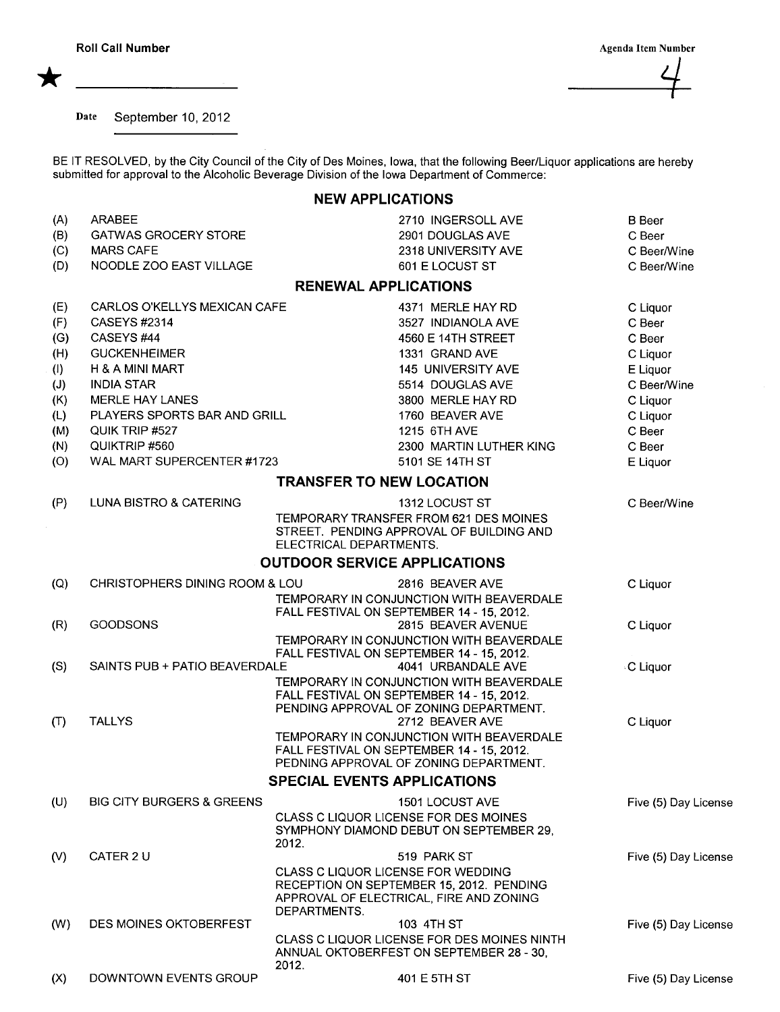\*

 $\frac{2}{\sqrt{2}}$ 

Date September 10, 2012

BE IT RESOLVED, by the City Council of the City of Des Moines, Iowa, that the following Beer/Liquor applications are hereby submitted for approval to the Alcoholic Beverage Division of the Iowa Department of Commerce:

## NEW APPLICATIONS

| (A)<br>(B) | <b>ARABEE</b><br><b>GATWAS GROCERY STORE</b> | 2710 INGERSOLL AVE<br>2901 DOUGLAS AVE                                                                        | <b>B</b> Beer<br>C Beer    |
|------------|----------------------------------------------|---------------------------------------------------------------------------------------------------------------|----------------------------|
| (C)<br>(D) | <b>MARS CAFE</b><br>NOODLE ZOO EAST VILLAGE  | 2318 UNIVERSITY AVE<br>601 E LOCUST ST                                                                        | C Beer/Wine<br>C Beer/Wine |
|            |                                              | <b>RENEWAL APPLICATIONS</b>                                                                                   |                            |
| (E)        | CARLOS O'KELLYS MEXICAN CAFE                 | 4371 MERLE HAY RD                                                                                             | C Liquor                   |
| (F)        | CASEYS #2314                                 | 3527 INDIANOLA AVE                                                                                            | C Beer                     |
| (G)        | CASEYS #44                                   | 4560 E 14TH STREET                                                                                            | C Beer                     |
| (H)        | <b>GUCKENHEIMER</b>                          | 1331 GRAND AVE                                                                                                | C Liquor                   |
| (1)        | H & A MINI MART                              | 145 UNIVERSITY AVE                                                                                            | E Liquor                   |
| (J)        | <b>INDIA STAR</b>                            | 5514 DOUGLAS AVE                                                                                              | C Beer/Wine                |
| (K)        | <b>MERLE HAY LANES</b>                       | 3800 MERLE HAY RD                                                                                             |                            |
|            | PLAYERS SPORTS BAR AND GRILL                 | 1760 BEAVER AVE                                                                                               | C Liquor                   |
| (L)        |                                              |                                                                                                               | C Liquor                   |
| (M)        | QUIK TRIP #527                               | 1215 6TH AVE                                                                                                  | C Beer                     |
| (N)        | QUIKTRIP #560                                | 2300 MARTIN LUTHER KING                                                                                       | C Beer                     |
| (O)        | WAL MART SUPERCENTER #1723                   | 5101 SE 14TH ST                                                                                               | E Liquor                   |
|            |                                              | <b>TRANSFER TO NEW LOCATION</b>                                                                               |                            |
| (P)        | LUNA BISTRO & CATERING                       | 1312 LOCUST ST                                                                                                | C Beer/Wine                |
|            |                                              | TEMPORARY TRANSFER FROM 621 DES MOINES<br>STREET. PENDING APPROVAL OF BUILDING AND<br>ELECTRICAL DEPARTMENTS. |                            |
|            |                                              | <b>OUTDOOR SERVICE APPLICATIONS</b>                                                                           |                            |
| (Q)        | CHRISTOPHERS DINING ROOM & LOU               | 2816 BEAVER AVE                                                                                               | C Liquor                   |
|            |                                              | TEMPORARY IN CONJUNCTION WITH BEAVERDALE                                                                      |                            |
|            |                                              | FALL FESTIVAL ON SEPTEMBER 14 - 15, 2012.                                                                     |                            |
| (R)        | <b>GOODSONS</b>                              | 2815 BEAVER AVENUE                                                                                            | C Liquor                   |
|            |                                              | TEMPORARY IN CONJUNCTION WITH BEAVERDALE                                                                      |                            |
|            | SAINTS PUB + PATIO BEAVERDALE                | FALL FESTIVAL ON SEPTEMBER 14 - 15, 2012.<br>4041 URBANDALE AVE                                               |                            |
| (S)        |                                              | TEMPORARY IN CONJUNCTION WITH BEAVERDALE                                                                      | <b>C</b> Liquor            |
|            |                                              | FALL FESTIVAL ON SEPTEMBER 14 - 15, 2012.                                                                     |                            |
|            |                                              | PENDING APPROVAL OF ZONING DEPARTMENT.                                                                        |                            |
| (T)        | <b>TALLYS</b>                                | 2712 BEAVER AVE                                                                                               | C Liquor                   |
|            |                                              | TEMPORARY IN CONJUNCTION WITH BEAVERDALE                                                                      |                            |
|            |                                              | FALL FESTIVAL ON SEPTEMBER 14 - 15, 2012.                                                                     |                            |
|            |                                              | PEDNING APPROVAL OF ZONING DEPARTMENT.                                                                        |                            |
|            |                                              | <b>SPECIAL EVENTS APPLICATIONS</b>                                                                            |                            |
| (U)        | <b>BIG CITY BURGERS &amp; GREENS</b>         | 1501 LOCUST AVE                                                                                               | Five (5) Day License       |
|            |                                              | CLASS C LIQUOR LICENSE FOR DES MOINES                                                                         |                            |
|            |                                              | SYMPHONY DIAMOND DEBUT ON SEPTEMBER 29,<br>2012.                                                              |                            |
| (V)        | CATER 2 U                                    | 519 PARK ST                                                                                                   | Five (5) Day License       |
|            |                                              | <b>CLASS C LIQUOR LICENSE FOR WEDDING</b>                                                                     |                            |
|            |                                              | RECEPTION ON SEPTEMBER 15, 2012. PENDING                                                                      |                            |
|            |                                              | APPROVAL OF ELECTRICAL, FIRE AND ZONING                                                                       |                            |
|            |                                              | DEPARTMENTS.                                                                                                  |                            |
| (W)        | DES MOINES OKTOBERFEST                       | 103 4TH ST                                                                                                    | Five (5) Day License       |
|            |                                              | CLASS C LIQUOR LICENSE FOR DES MOINES NINTH                                                                   |                            |
|            |                                              | ANNUAL OKTOBERFEST ON SEPTEMBER 28 - 30,<br>2012.                                                             |                            |
| (X)        | DOWNTOWN EVENTS GROUP                        | 401 E 5TH ST                                                                                                  | Five (5) Day License       |
|            |                                              |                                                                                                               |                            |